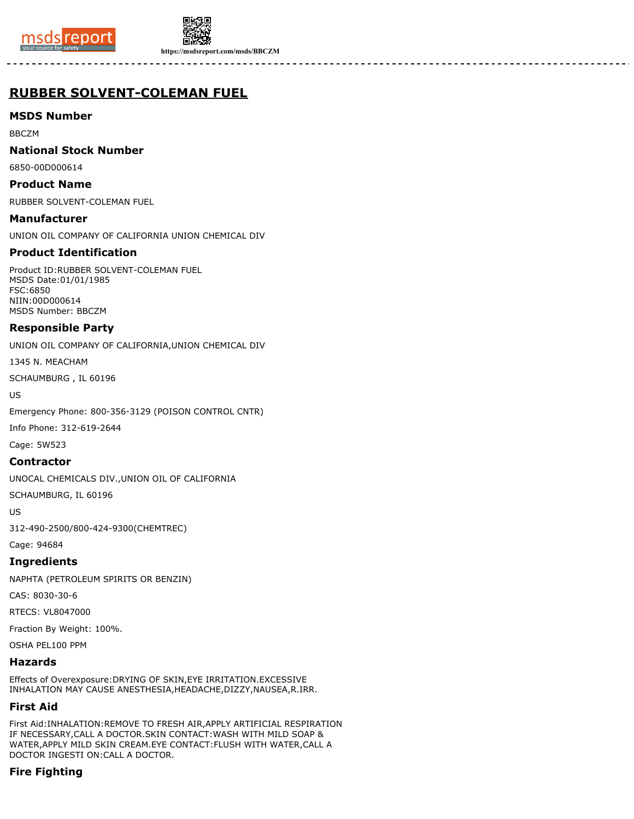



**https://msdsreport.com/msds/BBCZM**

# **RUBBER SOLVENT-COLEMAN FUEL**

# **MSDS Number**

BBCZM

### **National Stock Number**

6850-00D000614

### **Product Name**

RUBBER SOLVENT-COLEMAN FUEL

**Manufacturer** UNION OIL COMPANY OF CALIFORNIA UNION CHEMICAL DIV

# **Product Identification**

Product ID:RUBBER SOLVENT-COLEMAN FUEL MSDS Date:01/01/1985 FSC:6850 NIIN:00D000614 MSDS Number: BBCZM

# **Responsible Party**

UNION OIL COMPANY OF CALIFORNIA,UNION CHEMICAL DIV

1345 N. MEACHAM

SCHAUMBURG , IL 60196

US

Emergency Phone: 800-356-3129 (POISON CONTROL CNTR)

Info Phone: 312-619-2644

Cage: 5W523

# **Contractor**

UNOCAL CHEMICALS DIV.,UNION OIL OF CALIFORNIA

SCHAUMBURG, IL 60196

US

312-490-2500/800-424-9300(CHEMTREC)

Cage: 94684

**Ingredients**

NAPHTA (PETROLEUM SPIRITS OR BENZIN)

CAS: 8030-30-6

RTECS: VL8047000

Fraction By Weight: 100%.

OSHA PEL100 PPM

# **Hazards**

Effects of Overexposure:DRYING OF SKIN,EYE IRRITATION.EXCESSIVE INHALATION MAY CAUSE ANESTHESIA,HEADACHE,DIZZY,NAUSEA,R.IRR.

# **First Aid**

First Aid:INHALATION:REMOVE TO FRESH AIR,APPLY ARTIFICIAL RESPIRATION IF NECESSARY,CALL A DOCTOR.SKIN CONTACT:WASH WITH MILD SOAP & WATER,APPLY MILD SKIN CREAM.EYE CONTACT:FLUSH WITH WATER,CALL A DOCTOR INGESTI ON:CALL A DOCTOR.

# **Fire Fighting**